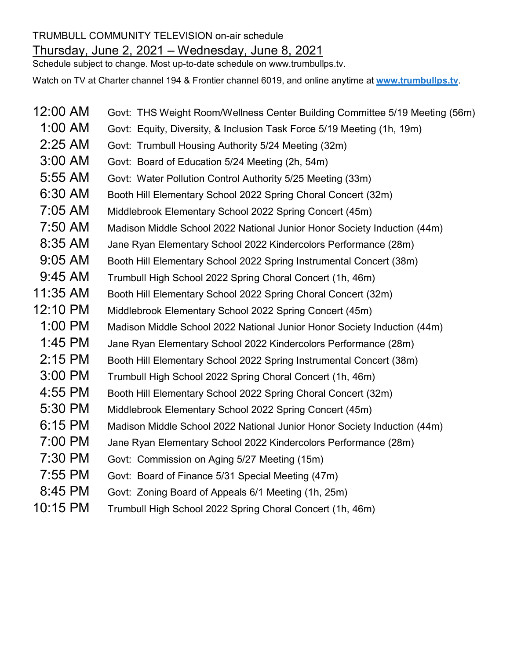## TRUMBULL COMMUNITY TELEVISION on-air schedule Thursday, June 2, 2021 – Wednesday, June 8, 2021

Schedule subject to change. Most up-to-date schedule on www.trumbullps.tv.

Watch on TV at Charter channel 194 & Frontier channel 6019, and online anytime at **www.trumbullps.tv**.

- 12:00 AM Govt: THS Weight Room/Wellness Center Building Committee 5/19 Meeting (56m)
	- 1:00 AM Govt: Equity, Diversity, & Inclusion Task Force 5/19 Meeting (1h, 19m)
- 2:25 AM Govt: Trumbull Housing Authority 5/24 Meeting (32m)
- 3:00 AM Govt: Board of Education 5/24 Meeting (2h, 54m)
- 5:55 AM Govt: Water Pollution Control Authority 5/25 Meeting (33m)
- 6:30 AM Booth Hill Elementary School 2022 Spring Choral Concert (32m)
- 7:05 AM Middlebrook Elementary School 2022 Spring Concert (45m)
- 7:50 AM Madison Middle School 2022 National Junior Honor Society Induction (44m)
- 8:35 AM Jane Ryan Elementary School 2022 Kindercolors Performance (28m)
- 9:05 AM Booth Hill Elementary School 2022 Spring Instrumental Concert (38m)
- 9:45 AM Trumbull High School 2022 Spring Choral Concert (1h, 46m)
- 11:35 AM Booth Hill Elementary School 2022 Spring Choral Concert (32m)
- 12:10 PM Middlebrook Elementary School 2022 Spring Concert (45m)
- 1:00 PM Madison Middle School 2022 National Junior Honor Society Induction (44m)
- 1:45 PM Jane Ryan Elementary School 2022 Kindercolors Performance (28m)
- 2:15 PM Booth Hill Elementary School 2022 Spring Instrumental Concert (38m)
- 3:00 PM Trumbull High School 2022 Spring Choral Concert (1h, 46m)
- 4:55 PM Booth Hill Elementary School 2022 Spring Choral Concert (32m)
- 5:30 PM Middlebrook Elementary School 2022 Spring Concert (45m)
- 6:15 PM Madison Middle School 2022 National Junior Honor Society Induction (44m)
- 7:00 PM Jane Ryan Elementary School 2022 Kindercolors Performance (28m)
- 7:30 PM Govt: Commission on Aging 5/27 Meeting (15m)
- 7:55 PM Govt: Board of Finance 5/31 Special Meeting (47m)
- 8:45 PM Govt: Zoning Board of Appeals 6/1 Meeting (1h, 25m)
- 10:15 PM Trumbull High School 2022 Spring Choral Concert (1h, 46m)